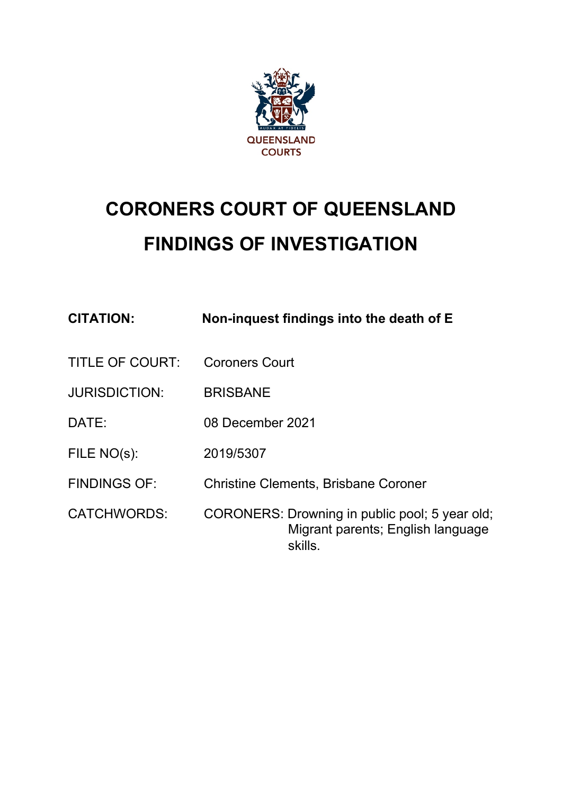

# **CORONERS COURT OF QUEENSLAND FINDINGS OF INVESTIGATION**

| <b>CITATION:</b>       | Non-inquest findings into the death of E                                                       |
|------------------------|------------------------------------------------------------------------------------------------|
| <b>TITLE OF COURT:</b> | <b>Coroners Court</b>                                                                          |
| <b>JURISDICTION:</b>   | <b>BRISBANE</b>                                                                                |
| DATE:                  | 08 December 2021                                                                               |
| FILE NO(s):            | 2019/5307                                                                                      |
| <b>FINDINGS OF:</b>    | <b>Christine Clements, Brisbane Coroner</b>                                                    |
| <b>CATCHWORDS:</b>     | CORONERS: Drowning in public pool; 5 year old;<br>Migrant parents; English language<br>skills. |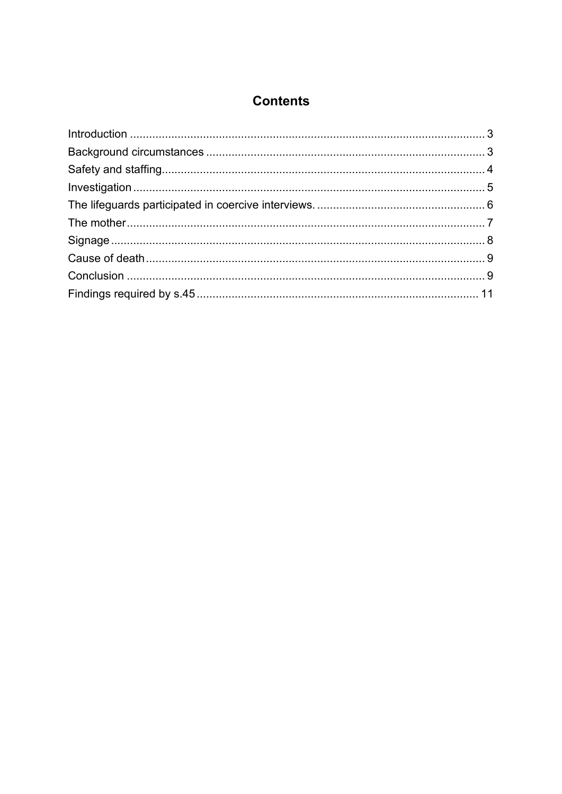## **Contents**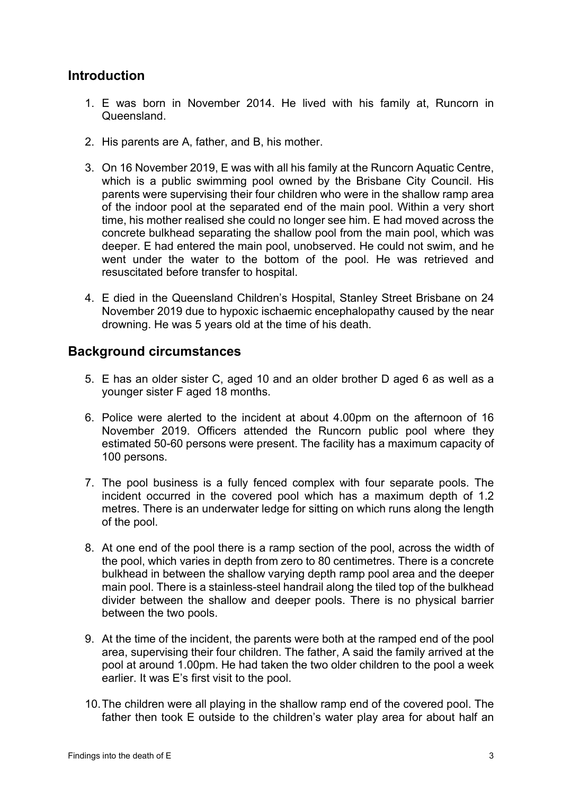## <span id="page-2-0"></span>**Introduction**

- 1. E was born in November 2014. He lived with his family at, Runcorn in Queensland.
- 2. His parents are A, father, and B, his mother.
- 3. On 16 November 2019, E was with all his family at the Runcorn Aquatic Centre, which is a public swimming pool owned by the Brisbane City Council. His parents were supervising their four children who were in the shallow ramp area of the indoor pool at the separated end of the main pool. Within a very short time, his mother realised she could no longer see him. E had moved across the concrete bulkhead separating the shallow pool from the main pool, which was deeper. E had entered the main pool, unobserved. He could not swim, and he went under the water to the bottom of the pool. He was retrieved and resuscitated before transfer to hospital.
- 4. E died in the Queensland Children's Hospital, Stanley Street Brisbane on 24 November 2019 due to hypoxic ischaemic encephalopathy caused by the near drowning. He was 5 years old at the time of his death.

#### <span id="page-2-1"></span>**Background circumstances**

- 5. E has an older sister C, aged 10 and an older brother D aged 6 as well as a younger sister F aged 18 months.
- 6. Police were alerted to the incident at about 4.00pm on the afternoon of 16 November 2019. Officers attended the Runcorn public pool where they estimated 50-60 persons were present. The facility has a maximum capacity of 100 persons.
- 7. The pool business is a fully fenced complex with four separate pools. The incident occurred in the covered pool which has a maximum depth of 1.2 metres. There is an underwater ledge for sitting on which runs along the length of the pool.
- 8. At one end of the pool there is a ramp section of the pool, across the width of the pool, which varies in depth from zero to 80 centimetres. There is a concrete bulkhead in between the shallow varying depth ramp pool area and the deeper main pool. There is a stainless-steel handrail along the tiled top of the bulkhead divider between the shallow and deeper pools. There is no physical barrier between the two pools.
- 9. At the time of the incident, the parents were both at the ramped end of the pool area, supervising their four children. The father, A said the family arrived at the pool at around 1.00pm. He had taken the two older children to the pool a week earlier. It was E's first visit to the pool.
- 10.The children were all playing in the shallow ramp end of the covered pool. The father then took E outside to the children's water play area for about half an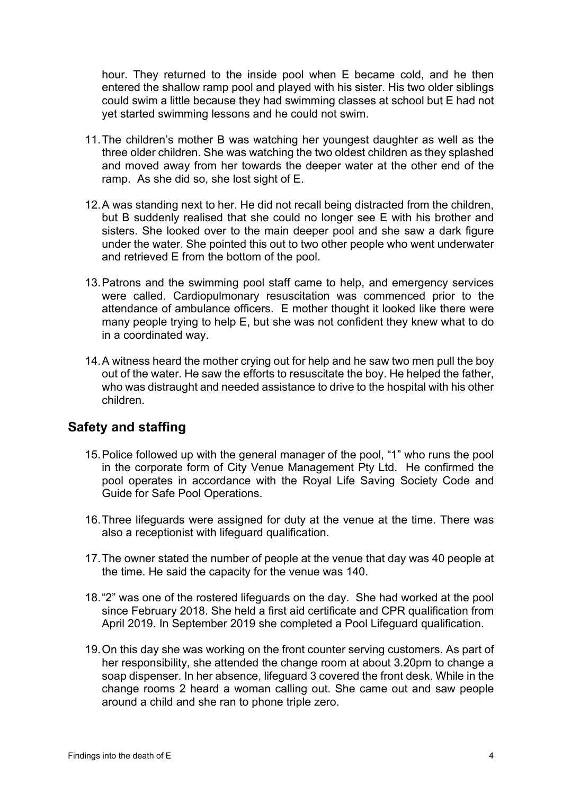hour. They returned to the inside pool when E became cold, and he then entered the shallow ramp pool and played with his sister. His two older siblings could swim a little because they had swimming classes at school but E had not yet started swimming lessons and he could not swim.

- 11.The children's mother B was watching her youngest daughter as well as the three older children. She was watching the two oldest children as they splashed and moved away from her towards the deeper water at the other end of the ramp. As she did so, she lost sight of E.
- 12.A was standing next to her. He did not recall being distracted from the children, but B suddenly realised that she could no longer see E with his brother and sisters. She looked over to the main deeper pool and she saw a dark figure under the water. She pointed this out to two other people who went underwater and retrieved E from the bottom of the pool.
- 13.Patrons and the swimming pool staff came to help, and emergency services were called. Cardiopulmonary resuscitation was commenced prior to the attendance of ambulance officers. E mother thought it looked like there were many people trying to help E, but she was not confident they knew what to do in a coordinated way.
- 14.A witness heard the mother crying out for help and he saw two men pull the boy out of the water. He saw the efforts to resuscitate the boy. He helped the father, who was distraught and needed assistance to drive to the hospital with his other children.

## <span id="page-3-0"></span>**Safety and staffing**

- 15.Police followed up with the general manager of the pool, "1" who runs the pool in the corporate form of City Venue Management Pty Ltd. He confirmed the pool operates in accordance with the Royal Life Saving Society Code and Guide for Safe Pool Operations.
- 16.Three lifeguards were assigned for duty at the venue at the time. There was also a receptionist with lifeguard qualification.
- 17.The owner stated the number of people at the venue that day was 40 people at the time. He said the capacity for the venue was 140.
- 18."2" was one of the rostered lifeguards on the day. She had worked at the pool since February 2018. She held a first aid certificate and CPR qualification from April 2019. In September 2019 she completed a Pool Lifeguard qualification.
- 19.On this day she was working on the front counter serving customers. As part of her responsibility, she attended the change room at about 3.20pm to change a soap dispenser. In her absence, lifeguard 3 covered the front desk. While in the change rooms 2 heard a woman calling out. She came out and saw people around a child and she ran to phone triple zero.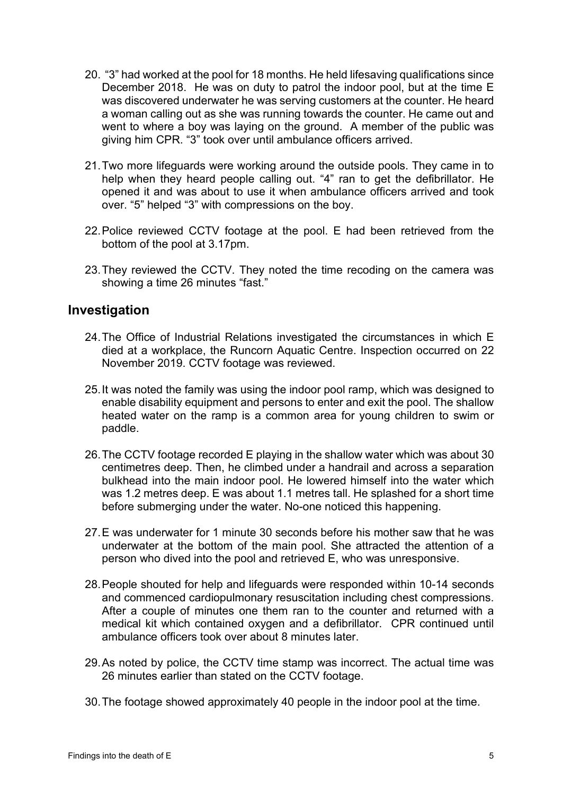- 20. "3" had worked at the pool for 18 months. He held lifesaving qualifications since December 2018. He was on duty to patrol the indoor pool, but at the time E was discovered underwater he was serving customers at the counter. He heard a woman calling out as she was running towards the counter. He came out and went to where a boy was laying on the ground. A member of the public was giving him CPR. "3" took over until ambulance officers arrived.
- 21.Two more lifeguards were working around the outside pools. They came in to help when they heard people calling out. "4" ran to get the defibrillator. He opened it and was about to use it when ambulance officers arrived and took over. "5" helped "3" with compressions on the boy.
- 22.Police reviewed CCTV footage at the pool. E had been retrieved from the bottom of the pool at 3.17pm.
- 23.They reviewed the CCTV. They noted the time recoding on the camera was showing a time 26 minutes "fast."

#### <span id="page-4-0"></span>**Investigation**

- 24.The Office of Industrial Relations investigated the circumstances in which E died at a workplace, the Runcorn Aquatic Centre. Inspection occurred on 22 November 2019. CCTV footage was reviewed.
- 25.It was noted the family was using the indoor pool ramp, which was designed to enable disability equipment and persons to enter and exit the pool. The shallow heated water on the ramp is a common area for young children to swim or paddle.
- 26.The CCTV footage recorded E playing in the shallow water which was about 30 centimetres deep. Then, he climbed under a handrail and across a separation bulkhead into the main indoor pool. He lowered himself into the water which was 1.2 metres deep. E was about 1.1 metres tall. He splashed for a short time before submerging under the water. No-one noticed this happening.
- 27.E was underwater for 1 minute 30 seconds before his mother saw that he was underwater at the bottom of the main pool. She attracted the attention of a person who dived into the pool and retrieved E, who was unresponsive.
- 28.People shouted for help and lifeguards were responded within 10-14 seconds and commenced cardiopulmonary resuscitation including chest compressions. After a couple of minutes one them ran to the counter and returned with a medical kit which contained oxygen and a defibrillator. CPR continued until ambulance officers took over about 8 minutes later.
- 29.As noted by police, the CCTV time stamp was incorrect. The actual time was 26 minutes earlier than stated on the CCTV footage.
- 30.The footage showed approximately 40 people in the indoor pool at the time.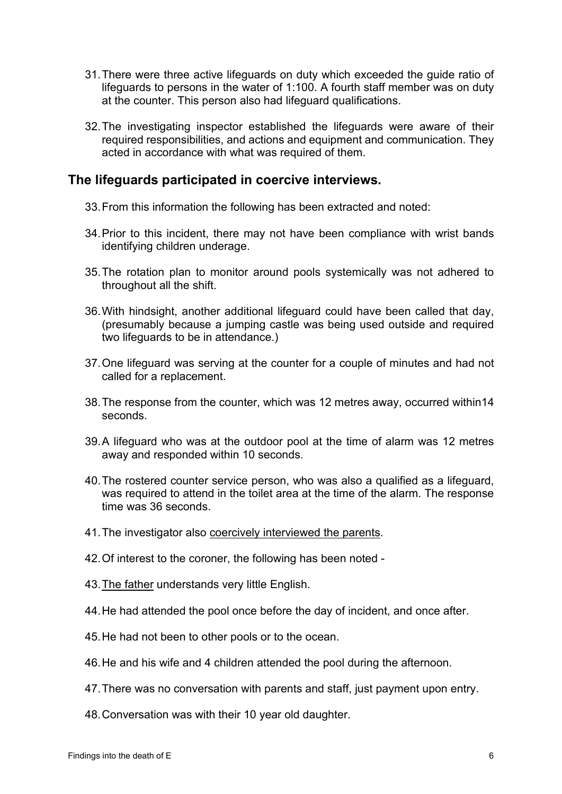- 31.There were three active lifeguards on duty which exceeded the guide ratio of lifeguards to persons in the water of 1:100. A fourth staff member was on duty at the counter. This person also had lifeguard qualifications.
- 32.The investigating inspector established the lifeguards were aware of their required responsibilities, and actions and equipment and communication. They acted in accordance with what was required of them.

#### <span id="page-5-0"></span>**The lifeguards participated in coercive interviews.**

- 33.From this information the following has been extracted and noted:
- 34.Prior to this incident, there may not have been compliance with wrist bands identifying children underage.
- 35.The rotation plan to monitor around pools systemically was not adhered to throughout all the shift.
- 36.With hindsight, another additional lifeguard could have been called that day, (presumably because a jumping castle was being used outside and required two lifeguards to be in attendance.)
- 37.One lifeguard was serving at the counter for a couple of minutes and had not called for a replacement.
- 38.The response from the counter, which was 12 metres away, occurred within14 seconds.
- 39.A lifeguard who was at the outdoor pool at the time of alarm was 12 metres away and responded within 10 seconds.
- 40.The rostered counter service person, who was also a qualified as a lifeguard, was required to attend in the toilet area at the time of the alarm. The response time was 36 seconds.
- 41.The investigator also coercively interviewed the parents.
- 42.Of interest to the coroner, the following has been noted -
- 43. The father understands very little English.
- 44.He had attended the pool once before the day of incident, and once after.
- 45.He had not been to other pools or to the ocean.
- 46.He and his wife and 4 children attended the pool during the afternoon.
- 47.There was no conversation with parents and staff, just payment upon entry.
- 48.Conversation was with their 10 year old daughter.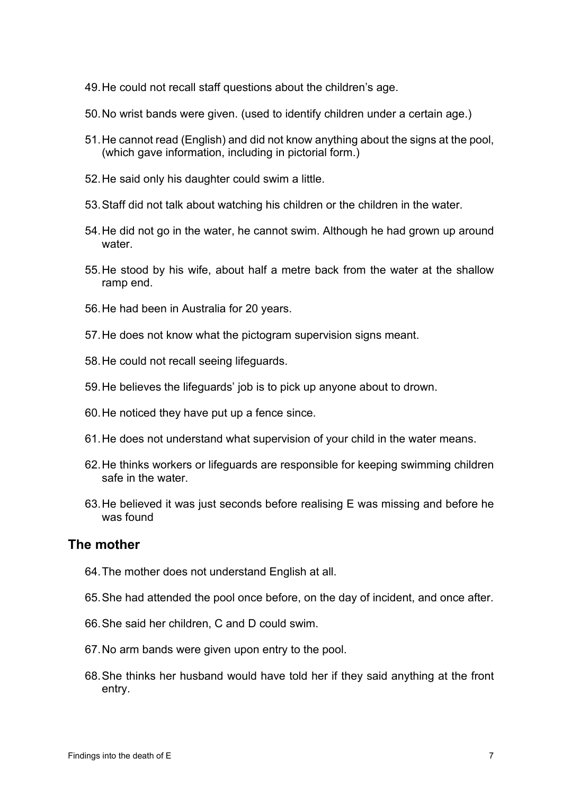- 49.He could not recall staff questions about the children's age.
- 50.No wrist bands were given. (used to identify children under a certain age.)
- 51.He cannot read (English) and did not know anything about the signs at the pool, (which gave information, including in pictorial form.)
- 52.He said only his daughter could swim a little.
- 53.Staff did not talk about watching his children or the children in the water.
- 54.He did not go in the water, he cannot swim. Although he had grown up around water.
- 55.He stood by his wife, about half a metre back from the water at the shallow ramp end.
- 56.He had been in Australia for 20 years.
- 57.He does not know what the pictogram supervision signs meant.
- 58.He could not recall seeing lifeguards.
- 59.He believes the lifeguards' job is to pick up anyone about to drown.
- 60.He noticed they have put up a fence since.
- 61.He does not understand what supervision of your child in the water means.
- 62.He thinks workers or lifeguards are responsible for keeping swimming children safe in the water.
- 63.He believed it was just seconds before realising E was missing and before he was found

#### <span id="page-6-0"></span>**The mother**

- 64.The mother does not understand English at all.
- 65.She had attended the pool once before, on the day of incident, and once after.
- 66.She said her children, C and D could swim.
- 67.No arm bands were given upon entry to the pool.
- 68.She thinks her husband would have told her if they said anything at the front entry.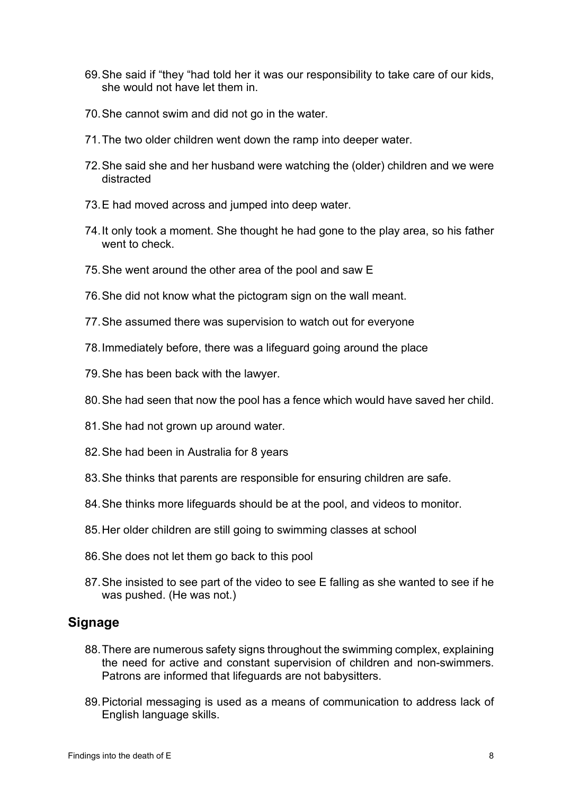- 69.She said if "they "had told her it was our responsibility to take care of our kids, she would not have let them in.
- 70.She cannot swim and did not go in the water.
- 71.The two older children went down the ramp into deeper water.
- 72.She said she and her husband were watching the (older) children and we were distracted
- 73.E had moved across and jumped into deep water.
- 74.It only took a moment. She thought he had gone to the play area, so his father went to check.
- 75.She went around the other area of the pool and saw E
- 76.She did not know what the pictogram sign on the wall meant.
- 77.She assumed there was supervision to watch out for everyone
- 78.Immediately before, there was a lifeguard going around the place
- 79.She has been back with the lawyer.
- 80.She had seen that now the pool has a fence which would have saved her child.
- 81.She had not grown up around water.
- 82.She had been in Australia for 8 years
- 83.She thinks that parents are responsible for ensuring children are safe.
- 84.She thinks more lifeguards should be at the pool, and videos to monitor.
- 85.Her older children are still going to swimming classes at school
- 86.She does not let them go back to this pool
- 87.She insisted to see part of the video to see E falling as she wanted to see if he was pushed. (He was not.)

## <span id="page-7-0"></span>**Signage**

- 88.There are numerous safety signs throughout the swimming complex, explaining the need for active and constant supervision of children and non-swimmers. Patrons are informed that lifeguards are not babysitters.
- 89.Pictorial messaging is used as a means of communication to address lack of English language skills.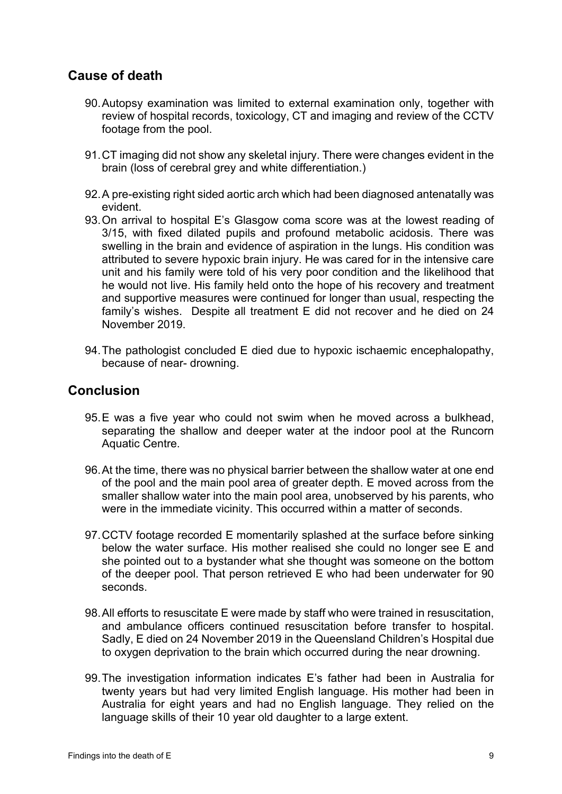## <span id="page-8-0"></span>**Cause of death**

- 90.Autopsy examination was limited to external examination only, together with review of hospital records, toxicology, CT and imaging and review of the CCTV footage from the pool.
- 91.CT imaging did not show any skeletal injury. There were changes evident in the brain (loss of cerebral grey and white differentiation.)
- 92.A pre-existing right sided aortic arch which had been diagnosed antenatally was evident.
- 93.On arrival to hospital E's Glasgow coma score was at the lowest reading of 3/15, with fixed dilated pupils and profound metabolic acidosis. There was swelling in the brain and evidence of aspiration in the lungs. His condition was attributed to severe hypoxic brain injury. He was cared for in the intensive care unit and his family were told of his very poor condition and the likelihood that he would not live. His family held onto the hope of his recovery and treatment and supportive measures were continued for longer than usual, respecting the family's wishes. Despite all treatment E did not recover and he died on 24 November 2019.
- 94.The pathologist concluded E died due to hypoxic ischaemic encephalopathy, because of near- drowning.

#### <span id="page-8-1"></span>**Conclusion**

- 95.E was a five year who could not swim when he moved across a bulkhead, separating the shallow and deeper water at the indoor pool at the Runcorn Aquatic Centre.
- 96.At the time, there was no physical barrier between the shallow water at one end of the pool and the main pool area of greater depth. E moved across from the smaller shallow water into the main pool area, unobserved by his parents, who were in the immediate vicinity. This occurred within a matter of seconds.
- 97.CCTV footage recorded E momentarily splashed at the surface before sinking below the water surface. His mother realised she could no longer see E and she pointed out to a bystander what she thought was someone on the bottom of the deeper pool. That person retrieved E who had been underwater for 90 seconds.
- 98.All efforts to resuscitate E were made by staff who were trained in resuscitation, and ambulance officers continued resuscitation before transfer to hospital. Sadly, E died on 24 November 2019 in the Queensland Children's Hospital due to oxygen deprivation to the brain which occurred during the near drowning.
- 99.The investigation information indicates E's father had been in Australia for twenty years but had very limited English language. His mother had been in Australia for eight years and had no English language. They relied on the language skills of their 10 year old daughter to a large extent.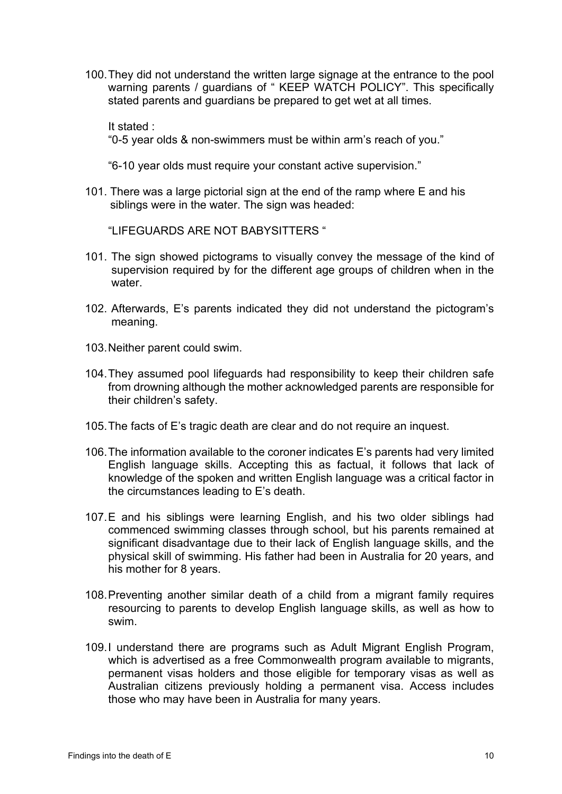100.They did not understand the written large signage at the entrance to the pool warning parents / guardians of " KEEP WATCH POLICY". This specifically stated parents and guardians be prepared to get wet at all times.

It stated :

"0-5 year olds & non-swimmers must be within arm's reach of you."

"6-10 year olds must require your constant active supervision."

101. There was a large pictorial sign at the end of the ramp where E and his siblings were in the water. The sign was headed:

"LIFEGUARDS ARE NOT BABYSITTERS "

- 101. The sign showed pictograms to visually convey the message of the kind of supervision required by for the different age groups of children when in the water.
- 102. Afterwards, E's parents indicated they did not understand the pictogram's meaning.
- 103.Neither parent could swim.
- 104.They assumed pool lifeguards had responsibility to keep their children safe from drowning although the mother acknowledged parents are responsible for their children's safety.
- 105.The facts of E's tragic death are clear and do not require an inquest.
- 106.The information available to the coroner indicates E's parents had very limited English language skills. Accepting this as factual, it follows that lack of knowledge of the spoken and written English language was a critical factor in the circumstances leading to E's death.
- 107.E and his siblings were learning English, and his two older siblings had commenced swimming classes through school, but his parents remained at significant disadvantage due to their lack of English language skills, and the physical skill of swimming. His father had been in Australia for 20 years, and his mother for 8 years.
- 108.Preventing another similar death of a child from a migrant family requires resourcing to parents to develop English language skills, as well as how to swim.
- 109.I understand there are programs such as Adult Migrant English Program, which is advertised as a free Commonwealth program available to migrants, permanent visas holders and those eligible for temporary visas as well as Australian citizens previously holding a permanent visa. Access includes those who may have been in Australia for many years.